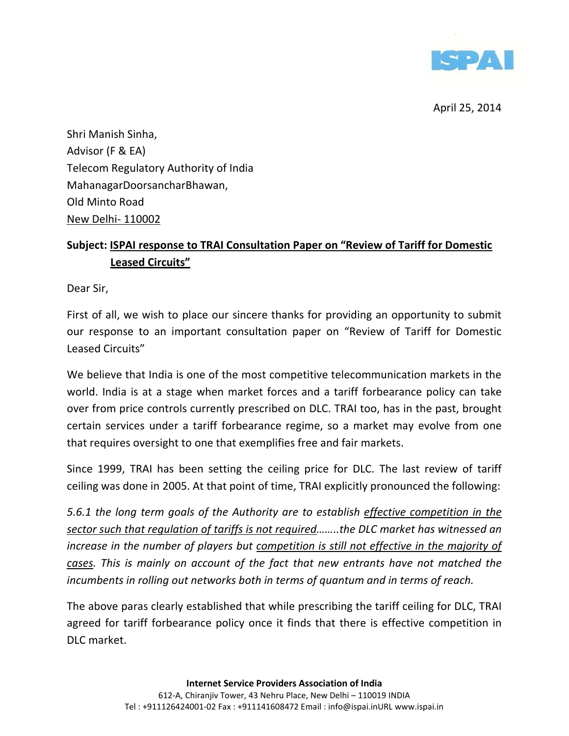

Shri Manish Sinha, Advisor (F & EA) Telecom Regulatory Authority of India MahanagarDoorsancharBhawan, Old Minto Road New Delhi- 110002

# Subject: ISPAI response to TRAI Consultation Paper on "Review of Tariff for Domestic Leased Circuits"

Dear Sir,

First of all, we wish to place our sincere thanks for providing an opportunity to submit our response to an important consultation paper on "Review of Tariff for Domestic Leased Circuits"

We believe that India is one of the most competitive telecommunication markets in the world. India is at a stage when market forces and a tariff forbearance policy can take over from price controls currently prescribed on DLC. TRAI too, has in the past, brought certain services under a tariff forbearance regime, so a market may evolve from one that requires oversight to one that exemplifies free and fair markets.

Since 1999, TRAI has been setting the ceiling price for DLC. The last review of tariff ceiling was done in 2005. At that point of time, TRAI explicitly pronounced the following:

5.6.1 the long term goals of the Authority are to establish effective competition in the sector such that regulation of tariffs is not required……..the DLC market has witnessed an increase in the number of players but competition is still not effective in the majority of cases. This is mainly on account of the fact that new entrants have not matched the incumbents in rolling out networks both in terms of quantum and in terms of reach.

The above paras clearly established that while prescribing the tariff ceiling for DLC, TRAI agreed for tariff forbearance policy once it finds that there is effective competition in DLC market.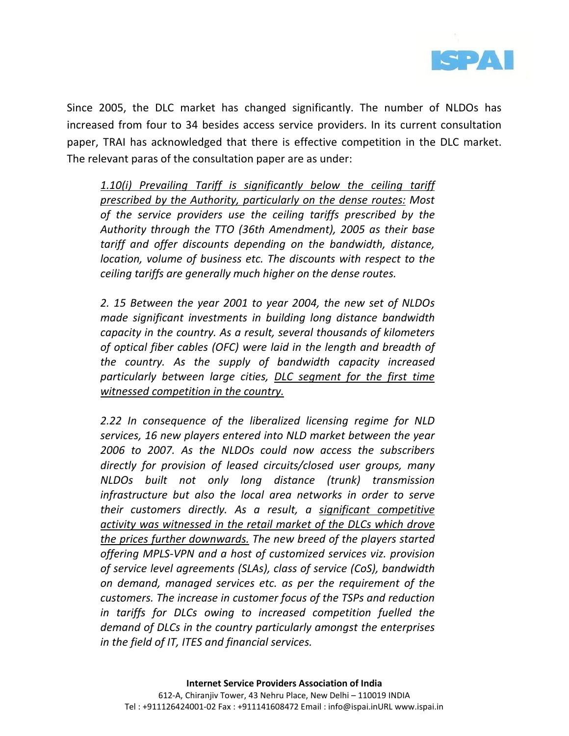

Since 2005, the DLC market has changed significantly. The number of NLDOs has increased from four to 34 besides access service providers. In its current consultation paper, TRAI has acknowledged that there is effective competition in the DLC market. The relevant paras of the consultation paper are as under:

1.10(i) Prevailing Tariff is significantly below the ceiling tariff prescribed by the Authority, particularly on the dense routes: Most of the service providers use the ceiling tariffs prescribed by the Authority through the TTO (36th Amendment), 2005 as their base tariff and offer discounts depending on the bandwidth, distance, location, volume of business etc. The discounts with respect to the ceiling tariffs are generally much higher on the dense routes.

2. 15 Between the year 2001 to year 2004, the new set of NLDOs made significant investments in building long distance bandwidth capacity in the country. As a result, several thousands of kilometers of optical fiber cables (OFC) were laid in the length and breadth of the country. As the supply of bandwidth capacity increased particularly between large cities, DLC segment for the first time witnessed competition in the country.

2.22 In consequence of the liberalized licensing regime for NLD services, 16 new players entered into NLD market between the year 2006 to 2007. As the NLDOs could now access the subscribers directly for provision of leased circuits/closed user groups, many NLDOs built not only long distance (trunk) transmission infrastructure but also the local area networks in order to serve their customers directly. As a result, a significant competitive activity was witnessed in the retail market of the DLCs which drove the prices further downwards. The new breed of the players started offering MPLS-VPN and a host of customized services viz. provision of service level agreements (SLAs), class of service (CoS), bandwidth on demand, managed services etc. as per the requirement of the customers. The increase in customer focus of the TSPs and reduction in tariffs for DLCs owing to increased competition fuelled the demand of DLCs in the country particularly amongst the enterprises in the field of IT, ITES and financial services.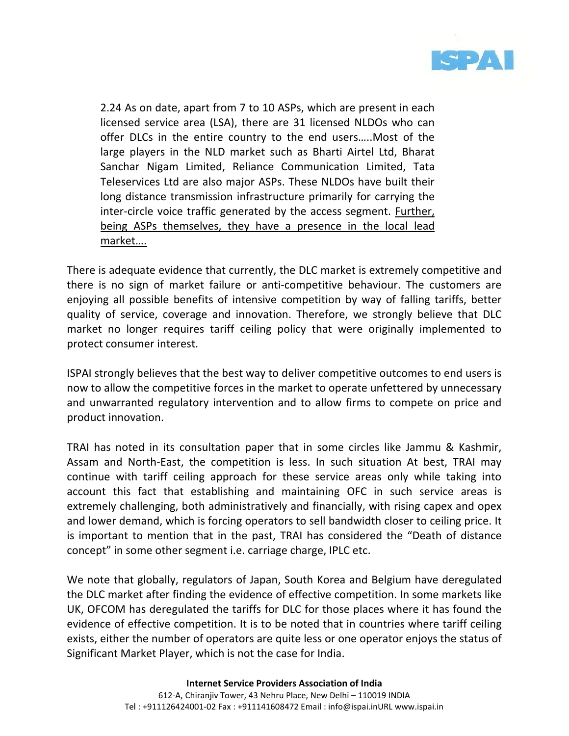

2.24 As on date, apart from 7 to 10 ASPs, which are present in each licensed service area (LSA), there are 31 licensed NLDOs who can offer DLCs in the entire country to the end users…..Most of the large players in the NLD market such as Bharti Airtel Ltd, Bharat Sanchar Nigam Limited, Reliance Communication Limited, Tata Teleservices Ltd are also major ASPs. These NLDOs have built their long distance transmission infrastructure primarily for carrying the inter-circle voice traffic generated by the access segment. Further, being ASPs themselves, they have a presence in the local lead market….

There is adequate evidence that currently, the DLC market is extremely competitive and there is no sign of market failure or anti-competitive behaviour. The customers are enjoying all possible benefits of intensive competition by way of falling tariffs, better quality of service, coverage and innovation. Therefore, we strongly believe that DLC market no longer requires tariff ceiling policy that were originally implemented to protect consumer interest.

ISPAI strongly believes that the best way to deliver competitive outcomes to end users is now to allow the competitive forces in the market to operate unfettered by unnecessary and unwarranted regulatory intervention and to allow firms to compete on price and product innovation.

TRAI has noted in its consultation paper that in some circles like Jammu & Kashmir, Assam and North-East, the competition is less. In such situation At best, TRAI may continue with tariff ceiling approach for these service areas only while taking into account this fact that establishing and maintaining OFC in such service areas is extremely challenging, both administratively and financially, with rising capex and opex and lower demand, which is forcing operators to sell bandwidth closer to ceiling price. It is important to mention that in the past, TRAI has considered the "Death of distance concept" in some other segment i.e. carriage charge, IPLC etc.

We note that globally, regulators of Japan, South Korea and Belgium have deregulated the DLC market after finding the evidence of effective competition. In some markets like UK, OFCOM has deregulated the tariffs for DLC for those places where it has found the evidence of effective competition. It is to be noted that in countries where tariff ceiling exists, either the number of operators are quite less or one operator enjoys the status of Significant Market Player, which is not the case for India.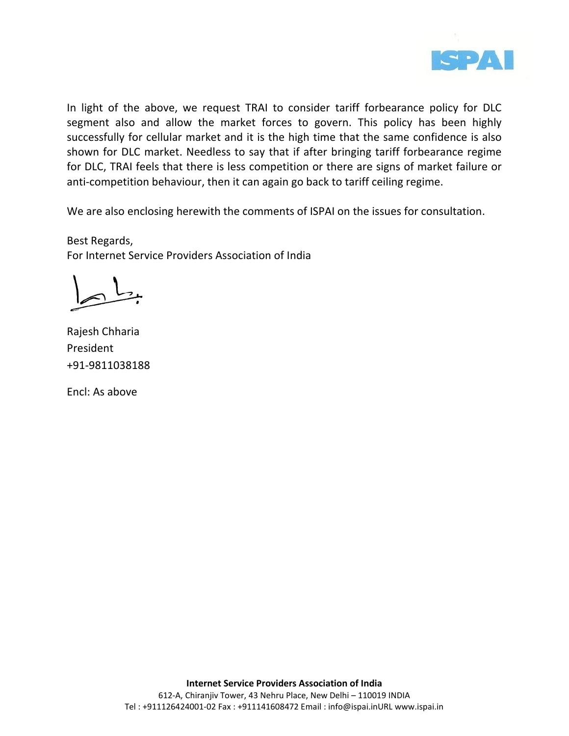

In light of the above, we request TRAI to consider tariff forbearance policy for DLC segment also and allow the market forces to govern. This policy has been highly successfully for cellular market and it is the high time that the same confidence is also shown for DLC market. Needless to say that if after bringing tariff forbearance regime for DLC, TRAI feels that there is less competition or there are signs of market failure or anti-competition behaviour, then it can again go back to tariff ceiling regime.

We are also enclosing herewith the comments of ISPAI on the issues for consultation.

Best Regards, For Internet Service Providers Association of India

Rajesh Chharia President +91-9811038188

Encl: As above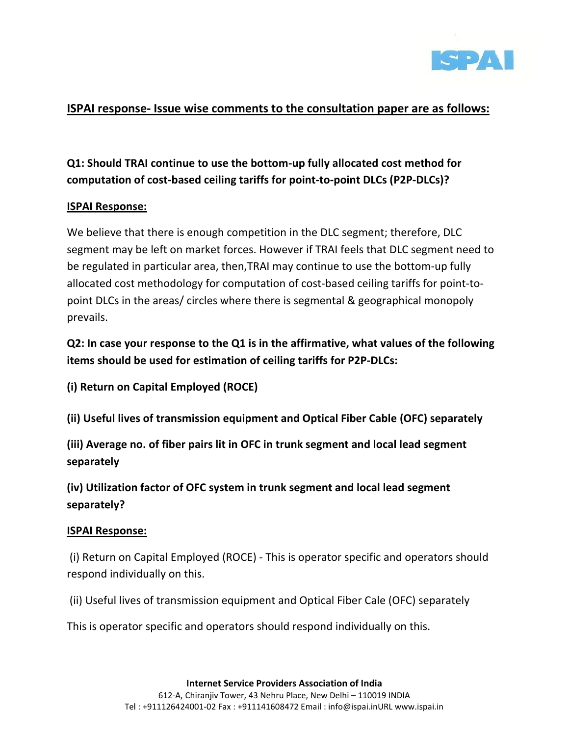

### ISPAI response- Issue wise comments to the consultation paper are as follows:

# Q1: Should TRAI continue to use the bottom-up fully allocated cost method for computation of cost-based ceiling tariffs for point-to-point DLCs (P2P-DLCs)?

### ISPAI Response:

We believe that there is enough competition in the DLC segment; therefore, DLC segment may be left on market forces. However if TRAI feels that DLC segment need to be regulated in particular area, then,TRAI may continue to use the bottom-up fully allocated cost methodology for computation of cost-based ceiling tariffs for point-topoint DLCs in the areas/ circles where there is segmental & geographical monopoly prevails.

Q2: In case your response to the Q1 is in the affirmative, what values of the following items should be used for estimation of ceiling tariffs for P2P-DLCs:

(i) Return on Capital Employed (ROCE)

(ii) Useful lives of transmission equipment and Optical Fiber Cable (OFC) separately

(iii) Average no. of fiber pairs lit in OFC in trunk segment and local lead segment separately

(iv) Utilization factor of OFC system in trunk segment and local lead segment separately?

#### ISPAI Response:

 (i) Return on Capital Employed (ROCE) - This is operator specific and operators should respond individually on this.

(ii) Useful lives of transmission equipment and Optical Fiber Cale (OFC) separately

This is operator specific and operators should respond individually on this.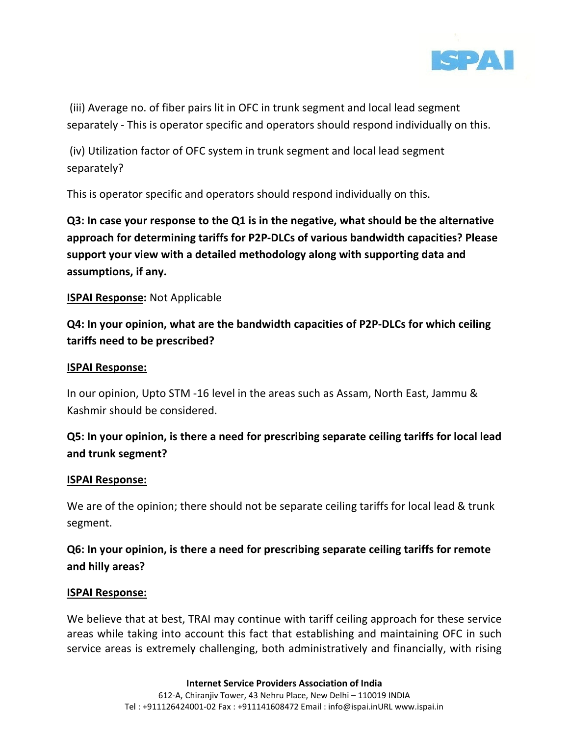

 (iii) Average no. of fiber pairs lit in OFC in trunk segment and local lead segment separately - This is operator specific and operators should respond individually on this.

 (iv) Utilization factor of OFC system in trunk segment and local lead segment separately?

This is operator specific and operators should respond individually on this.

Q3: In case your response to the Q1 is in the negative, what should be the alternative approach for determining tariffs for P2P-DLCs of various bandwidth capacities? Please support your view with a detailed methodology along with supporting data and assumptions, if any.

#### **ISPAI Response:** Not Applicable

Q4: In your opinion, what are the bandwidth capacities of P2P-DLCs for which ceiling tariffs need to be prescribed?

#### ISPAI Response:

In our opinion, Upto STM -16 level in the areas such as Assam, North East, Jammu & Kashmir should be considered.

## Q5: In your opinion, is there a need for prescribing separate ceiling tariffs for local lead and trunk segment?

#### ISPAI Response:

We are of the opinion; there should not be separate ceiling tariffs for local lead & trunk segment.

## Q6: In your opinion, is there a need for prescribing separate ceiling tariffs for remote and hilly areas?

#### ISPAI Response:

We believe that at best, TRAI may continue with tariff ceiling approach for these service areas while taking into account this fact that establishing and maintaining OFC in such service areas is extremely challenging, both administratively and financially, with rising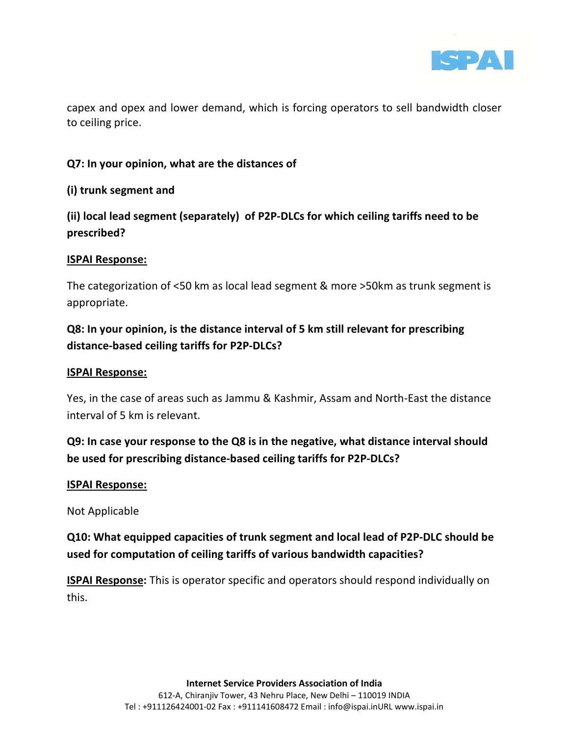

capex and opex and lower demand, which is forcing operators to sell bandwidth closer to ceiling price.

### Q7: In your opinion, what are the distances of

#### (i) trunk segment and

## (ii) local lead segment (separately) of P2P-DLCs for which ceiling tariffs need to be prescribed?

#### ISPAI Response:

The categorization of <50 km as local lead segment & more >50km as trunk segment is appropriate.

# Q8: In your opinion, is the distance interval of 5 km still relevant for prescribing distance-based ceiling tariffs for P2P-DLCs?

#### ISPAI Response:

Yes, in the case of areas such as Jammu & Kashmir, Assam and North-East the distance interval of 5 km is relevant.

## Q9: In case your response to the Q8 is in the negative, what distance interval should be used for prescribing distance-based ceiling tariffs for P2P-DLCs?

#### ISPAI Response:

Not Applicable

# Q10: What equipped capacities of trunk segment and local lead of P2P-DLC should be used for computation of ceiling tariffs of various bandwidth capacities?

**ISPAI Response:** This is operator specific and operators should respond individually on this.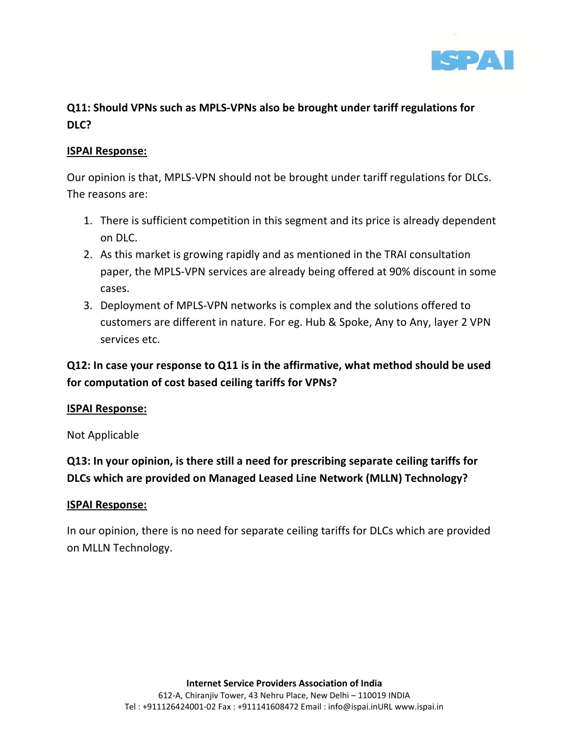

# Q11: Should VPNs such as MPLS-VPNs also be brought under tariff regulations for DLC?

#### ISPAI Response:

Our opinion is that, MPLS-VPN should not be brought under tariff regulations for DLCs. The reasons are:

- 1. There is sufficient competition in this segment and its price is already dependent on DLC.
- 2. As this market is growing rapidly and as mentioned in the TRAI consultation paper, the MPLS-VPN services are already being offered at 90% discount in some cases.
- 3. Deployment of MPLS-VPN networks is complex and the solutions offered to customers are different in nature. For eg. Hub & Spoke, Any to Any, layer 2 VPN services etc.

## Q12: In case your response to Q11 is in the affirmative, what method should be used for computation of cost based ceiling tariffs for VPNs?

#### ISPAI Response:

Not Applicable

Q13: In your opinion, is there still a need for prescribing separate ceiling tariffs for DLCs which are provided on Managed Leased Line Network (MLLN) Technology?

#### ISPAI Response:

In our opinion, there is no need for separate ceiling tariffs for DLCs which are provided on MLLN Technology.